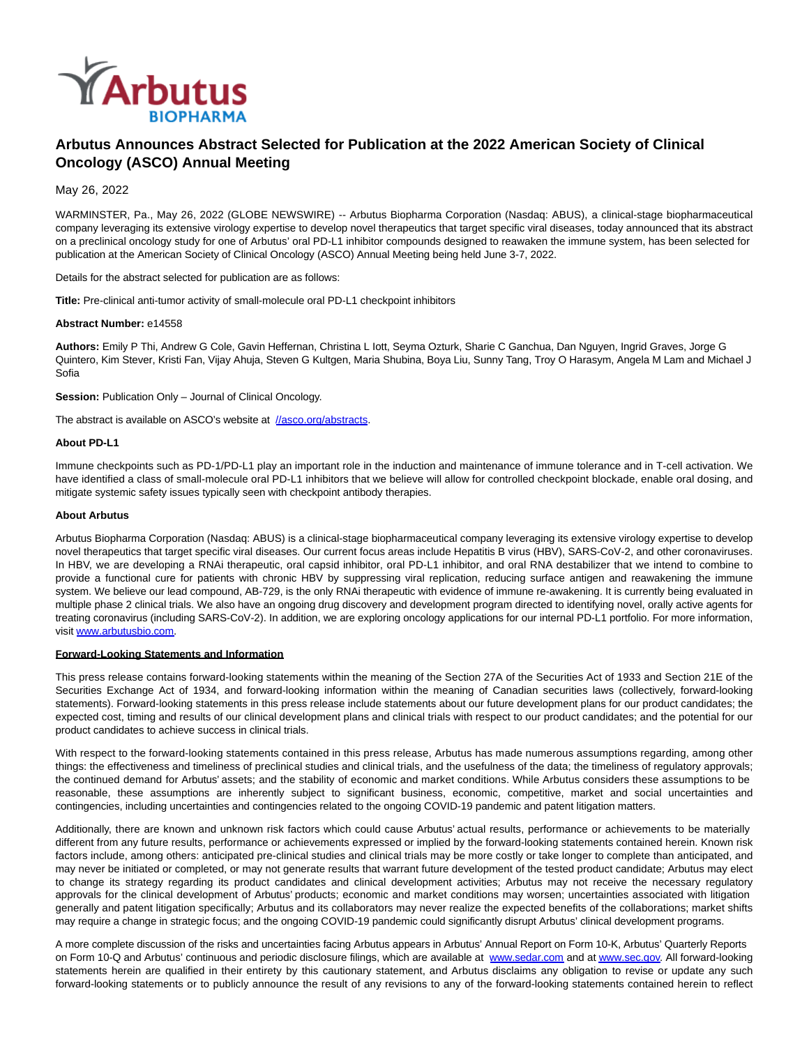

# **Arbutus Announces Abstract Selected for Publication at the 2022 American Society of Clinical Oncology (ASCO) Annual Meeting**

May 26, 2022

WARMINSTER, Pa., May 26, 2022 (GLOBE NEWSWIRE) -- Arbutus Biopharma Corporation (Nasdaq: ABUS), a clinical-stage biopharmaceutical company leveraging its extensive virology expertise to develop novel therapeutics that target specific viral diseases, today announced that its abstract on a preclinical oncology study for one of Arbutus' oral PD-L1 inhibitor compounds designed to reawaken the immune system, has been selected for publication at the American Society of Clinical Oncology (ASCO) Annual Meeting being held June 3-7, 2022.

Details for the abstract selected for publication are as follows:

**Title:** Pre-clinical anti-tumor activity of small-molecule oral PD-L1 checkpoint inhibitors

#### **Abstract Number:** e14558

**Authors:** Emily P Thi, Andrew G Cole, Gavin Heffernan, Christina L Iott, Seyma Ozturk, Sharie C Ganchua, Dan Nguyen, Ingrid Graves, Jorge G Quintero, Kim Stever, Kristi Fan, Vijay Ahuja, Steven G Kultgen, Maria Shubina, Boya Liu, Sunny Tang, Troy O Harasym, Angela M Lam and Michael J Sofia

**Session:** Publication Only – Journal of Clinical Oncology.

The abstract is available on ASCO's website at [//asco.org/abstracts.](https://www.globenewswire.com/Tracker?data=8UbRt2joL0LhzCPoRw0nQHYuaX-aHGejAymA3ewsZA5Y04pB4IaOXeeIqF3PfOgcVxn5A2hVXpxLZrT32MgnmcSipAVymjx9EZ6ZIgVwfxXVELGNDVqvVfUWltXCUBeCTqQdLgziK_KzJtGj93Zxig_1ukK1e1xwkp8QhdNWQaFTUxIjPYYYHjxsYIbf6qV9yzON_Cpcm7aFL41IelFW4Y7fuYjvFPgNcxqJsU1ZOuk_5Rkal4HqvNXvP6Z89J5ZUrmL36-QUwgU_6zJIetyyF6z_G23apKATMEUgApdAoSXQ0zf9S5EzbD7RznPiC6hGI88Hq_g1b9Dri22YVPwL-sIr1oRI-Swsd57V3PBmCw=)

#### **About PD-L1**

Immune checkpoints such as PD-1/PD-L1 play an important role in the induction and maintenance of immune tolerance and in T-cell activation. We have identified a class of small-molecule oral PD-L1 inhibitors that we believe will allow for controlled checkpoint blockade, enable oral dosing, and mitigate systemic safety issues typically seen with checkpoint antibody therapies.

#### **About Arbutus**

Arbutus Biopharma Corporation (Nasdaq: ABUS) is a clinical-stage biopharmaceutical company leveraging its extensive virology expertise to develop novel therapeutics that target specific viral diseases. Our current focus areas include Hepatitis B virus (HBV), SARS-CoV-2, and other coronaviruses. In HBV, we are developing a RNAi therapeutic, oral capsid inhibitor, oral PD-L1 inhibitor, and oral RNA destabilizer that we intend to combine to provide a functional cure for patients with chronic HBV by suppressing viral replication, reducing surface antigen and reawakening the immune system. We believe our lead compound, AB-729, is the only RNAi therapeutic with evidence of immune re-awakening. It is currently being evaluated in multiple phase 2 clinical trials. We also have an ongoing drug discovery and development program directed to identifying novel, orally active agents for treating coronavirus (including SARS-CoV-2). In addition, we are exploring oncology applications for our internal PD-L1 portfolio. For more information, visit [www.arbutusbio.com.](https://www.globenewswire.com/Tracker?data=eJi-ljVsQmXgh_h-Z9pGbyORXFPunnRyLh12xS614RPoPM8fLLI_LUOCBMYtUj5n5C-CYSuNcNwmCnPAIuI3l6i1VvhaK5DkPczzNOqajbE=)

#### **Forward-Looking Statements and Information**

This press release contains forward-looking statements within the meaning of the Section 27A of the Securities Act of 1933 and Section 21E of the Securities Exchange Act of 1934, and forward-looking information within the meaning of Canadian securities laws (collectively, forward-looking statements). Forward-looking statements in this press release include statements about our future development plans for our product candidates; the expected cost, timing and results of our clinical development plans and clinical trials with respect to our product candidates; and the potential for our product candidates to achieve success in clinical trials.

With respect to the forward-looking statements contained in this press release, Arbutus has made numerous assumptions regarding, among other things: the effectiveness and timeliness of preclinical studies and clinical trials, and the usefulness of the data; the timeliness of regulatory approvals; the continued demand for Arbutus' assets; and the stability of economic and market conditions. While Arbutus considers these assumptions to be reasonable, these assumptions are inherently subject to significant business, economic, competitive, market and social uncertainties and contingencies, including uncertainties and contingencies related to the ongoing COVID-19 pandemic and patent litigation matters.

Additionally, there are known and unknown risk factors which could cause Arbutus' actual results, performance or achievements to be materially different from any future results, performance or achievements expressed or implied by the forward-looking statements contained herein. Known risk factors include, among others: anticipated pre-clinical studies and clinical trials may be more costly or take longer to complete than anticipated, and may never be initiated or completed, or may not generate results that warrant future development of the tested product candidate; Arbutus may elect to change its strategy regarding its product candidates and clinical development activities; Arbutus may not receive the necessary regulatory approvals for the clinical development of Arbutus' products; economic and market conditions may worsen; uncertainties associated with litigation generally and patent litigation specifically; Arbutus and its collaborators may never realize the expected benefits of the collaborations; market shifts may require a change in strategic focus; and the ongoing COVID-19 pandemic could significantly disrupt Arbutus' clinical development programs.

A more complete discussion of the risks and uncertainties facing Arbutus appears in Arbutus' Annual Report on Form 10-K, Arbutus' Quarterly Reports on Form 10-Q and Arbutus' continuous and periodic disclosure filings, which are available at [www.sedar.com a](https://www.globenewswire.com/Tracker?data=xFC9s85WRk5PPQV2eRGe-HDvSZ5-my2VtOuNpLog24ypfHrLWeN2F7I6BJSmPdbb_s7iR6qrmWafOoZGj1Mcxw==)nd a[t www.sec.gov.](https://www.globenewswire.com/Tracker?data=xFC9s85WRk5PPQV2eRGe-GsX7HP8SZTPJjj1UQNbaS4LTUZ57o9zZem48VQsDbjkPkigdErjsEguSCKMdpBW_w==) All forward-looking statements herein are qualified in their entirety by this cautionary statement, and Arbutus disclaims any obligation to revise or update any such forward-looking statements or to publicly announce the result of any revisions to any of the forward-looking statements contained herein to reflect